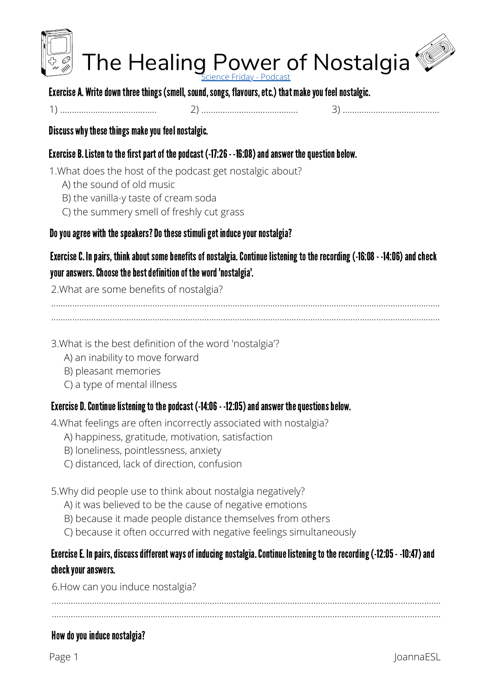

Exercise A. Write down three things (smell, sound, songs, flavours, etc.) that make you feel nostalgic.

Discuss why these things make you feel nostalgic.

Exercise B. Listen to the first part of the podcast (-17:26 - -16:08) and answer the question below.

1. What does the host of the podcast get nostalgic about?

- A) the sound of old music
- B) the vanilla-y taste of cream soda
- C) the summery smell of freshly cut grass

# Do you agree with the speakers? Do these stimuli get induce your nostalgia?

Exercise C. In pairs, think about some benefits of nostalgia. Continue listening to the recording (-16:08 - -14:06) and check your answers. Choose the best definition of the word 'nostalgia'.

2. What are some benefits of nostalgia?

3. What is the best definition of the word 'nostalgia'?

- A) an inability to move forward
- B) pleasant memories
- C) a type of mental illness

# Exercise D. Continue listening to the podcast (-14:06 - -12:05) and answer the questions below.

4. What feelings are often incorrectly associated with nostalgia?

- A) happiness, gratitude, motivation, satisfaction
- B) loneliness, pointlessness, anxiety
- C) distanced, lack of direction, confusion

5. Why did people use to think about nostalgia negatively?

- A) it was believed to be the cause of negative emotions
- B) because it made people distance themselves from others
- C) because it often occurred with negative feelings simultaneously

# Exercise E. In pairs, discuss different ways of inducing nostalgia. Continue listening to the recording (-12:05 - -10:47) and check your answers.

6. How can you induce nostalgia?

# How do you induce nostalgia?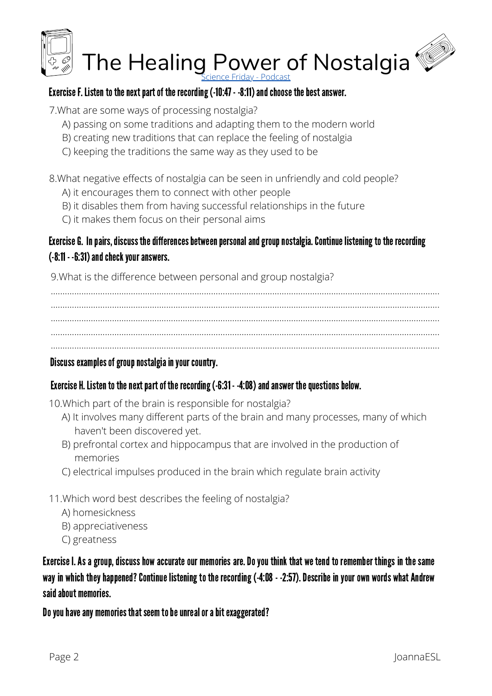

### Exercise F. Listen to the next part of the recording (-10:47 - -8:11) and choose the best answer.

7.What are some ways of processing nostalgia?

- A) passing on some traditions and adapting them to the modern world
- B) creating new traditions that can replace the feeling of nostalgia
- C) keeping the traditions the same way as they used to be

8.What negative effects of nostalgia can be seen in unfriendly and cold people?

- A) it encourages them to connect with other people
- B) it disables them from having successful relationships in the future
- C) it makes them focus on their personal aims

# Exercise G. In pairs, discuss the differences between personal and group nostalgia. Continue listening to the recording  $(-8:11 - 6:31)$  and check your answers.

9.What is the difference between personal and group nostalgia?

..................................................................................................................................................................... ..................................................................................................................................................................... ..................................................................................................................................................................... ..................................................................................................................................................................... .....................................................................................................................................................................

#### Discuss examples of group nostalgia in your country.

# Exercise H. Listen to the next part of the recording (-6:31 - -4:08) and answer the questions below.

10.Which part of the brain is responsible for nostalgia?

- A) It involves many different parts of the brain and many processes, many of which haven't been discovered yet.
- B) prefrontal cortex and hippocampus that are involved in the production of memories
- C) electrical impulses produced in the brain which regulate brain activity
- 11.Which word best describes the feeling of nostalgia?
	- A) homesickness
	- B) appreciativeness
	- C) greatness

Exercise I.As a group, discuss how accurate our memories are.Do you think that we tend to remember things in the same way in which they happened? Continue listening to the recording (-4:08 - -2:57). Describe in your own words what Andrew saidabout memories.

Do you have any memories that seem to be unreal or a bit exaggerated?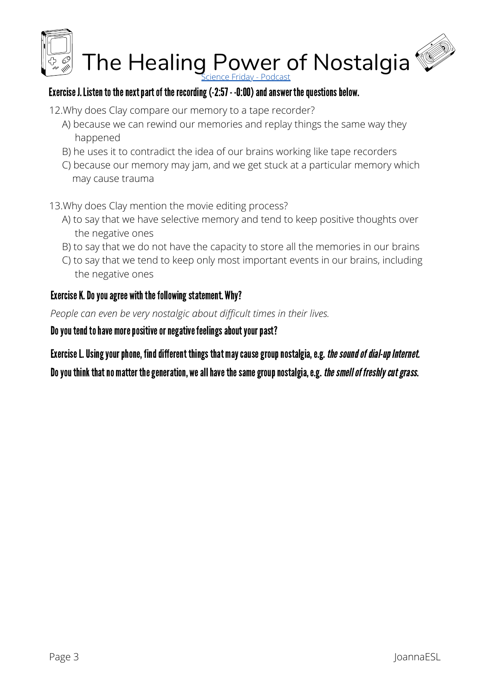

### Exercise J. Listen to the next part of the recording (-2:57 - -0:00) and answer the questions below.

- 12.Why does Clay compare our memory to a tape recorder?
	- A) because we can rewind our memories and replay things the same way they happened
	- B) he uses it to contradict the idea of our brains working like tape recorders
	- C) because our memory may jam, and we get stuck at a particular memory which may cause trauma
- 13.Why does Clay mention the movie editing process?
	- A) to say that we have selective memory and tend to keep positive thoughts over the negative ones
	- B) to say that we do not have the capacity to store all the memories in our brains
	- C) to say that we tend to keep only most important events in our brains, including the negative ones

# Exercise K. Do you agree with the following statement. Why?

*People can even be very nostalgic about difficult times in their lives.*

Do you tend to have more positive or negative feelings about your past?

Exercise L. Using your phone, find different things that may cause group nostalgia, e.g. the sound of dial-up Internet.

Do you think that no matter the generation, we all have the same group nostalgia, e.g. the smell of freshly cut grass.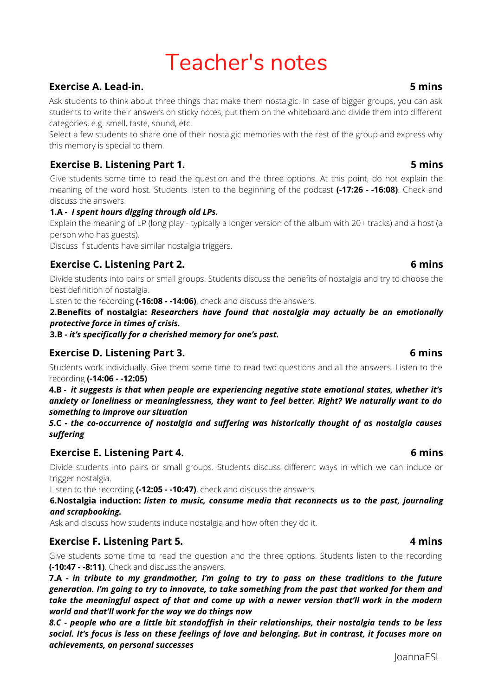# Teacher's notes

#### **Exercise A. Lead-in.**

Ask students to think about three things that make them nostalgic. In case of bigger groups, you can ask students to write their answers on sticky notes, put them on the whiteboard and divide them into different categories, e.g. smell, taste, sound, etc.

Select a few students to share one of their nostalgic memories with the rest of the group and express why this memory is special to them.

#### **Exercise B. Listening Part 1.**

Give students some time to read the question and the three options. At this point, do not explain the meaning of the word host. Students listen to the beginning of the podcast **(-17:26 - -16:08)**. Check and discuss the answers.

**1.A -** *I spent hours digging through old LPs.*

Explain the meaning of LP (long play - typically a longer version of the album with 20+ tracks) and a host (a person who has guests).

Discuss if students have similar nostalgia triggers.

#### **Exercise C. Listening Part 2.**

Divide students into pairs or small groups. Students discuss the benefits of nostalgia and try to choose the best definition of nostalgia.

Listen to the recording **(-16:08 - -14:06)**, check and discuss the answers.

**2.Benefits of nostalgia:** *Researchers have found that nostalgia may actually be an emotionally protective force in times of crisis.*

**3.B -** *it's specifically for a cherished memory for one's past.*

#### **Exercise D. Listening Part 3.**

Students work individually. Give them some time to read two questions and all the answers. Listen to the recording **(-14:06 - -12:05)**

**4.B -** *it suggests is that when people are experiencing negative state emotional states, whether it's anxiety or loneliness or meaninglessness, they want to feel better. Right? We naturally want to do something to improve our situation*

*5***.C -** *the co-occurrence of nostalgia and suffering was historically thought of as nostalgia causes suffering*

#### **Exercise E. Listening Part 4.**

Divide students into pairs or small groups. Students discuss different ways in which we can induce or trigger nostalgia.

Listen to the recording **(-12:05 - -10:47)**, check and discuss the answers.

**6.Nostalgia induction:** *listen to music, consume media that reconnects us to the past, journaling and scrapbooking.*

Ask and discuss how students induce nostalgia and how often they do it.

#### **Exercise F. Listening Part 5.**

Give students some time to read the question and the three options. Students listen to the recording **(-10:47 - -8:11)**. Check and discuss the answers.

7.A - in tribute to my grandmother, I'm going to try to pass on these traditions to the future *generation. I'm going to try to innovate, to take something from the past that worked for them and take the meaningful aspect of that and come up with a newer version that'll work in the modern world and that'll work for the way we do things now*

8.C - people who are a little bit standoffish in their relationships, their nostalgia tends to be less social. It's focus is less on these feelings of love and belonging. But in contrast, it focuses more on *achievements, on personal successes*

#### JoannaESL

#### **6 mins**

**4 mins**

#### **6 mins**

# **5 mins**

**5 mins**

**6 mins**